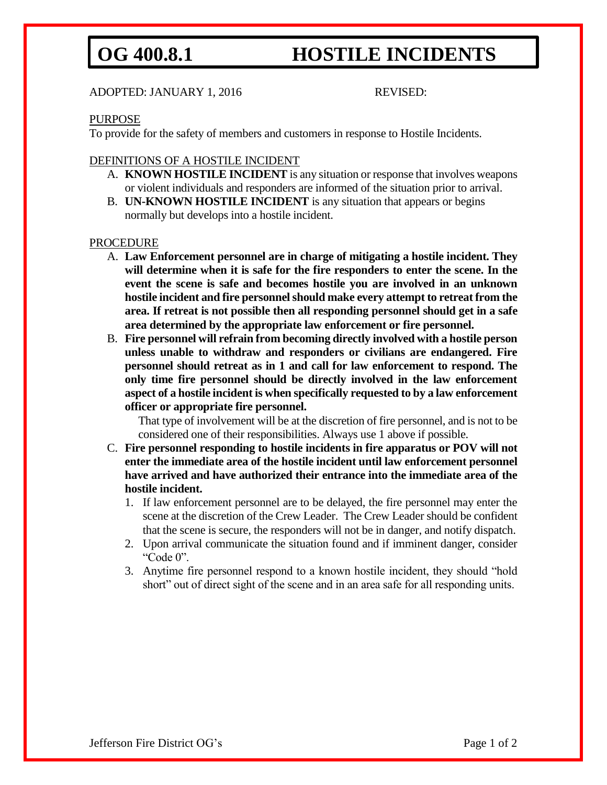# OG 400.8.1 **HOSTILE INCIDENTS**

### ADOPTED: JANUARY 1, 2016 REVISED:

#### PURPOSE

To provide for the safety of members and customers in response to Hostile Incidents.

### DEFINITIONS OF A HOSTILE INCIDENT

- A. **KNOWN HOSTILE INCIDENT** is any situation or response that involves weapons or violent individuals and responders are informed of the situation prior to arrival.
- B. **UN-KNOWN HOSTILE INCIDENT** is any situation that appears or begins normally but develops into a hostile incident.

#### PROCEDURE

- A. **Law Enforcement personnel are in charge of mitigating a hostile incident. They will determine when it is safe for the fire responders to enter the scene. In the event the scene is safe and becomes hostile you are involved in an unknown hostile incident and fire personnel should make every attempt to retreat from the area. If retreat is not possible then all responding personnel should get in a safe area determined by the appropriate law enforcement or fire personnel.**
- B. **Fire personnel will refrain from becoming directly involved with a hostile person unless unable to withdraw and responders or civilians are endangered. Fire personnel should retreat as in 1 and call for law enforcement to respond. The only time fire personnel should be directly involved in the law enforcement aspect of a hostile incident is when specifically requested to by a law enforcement officer or appropriate fire personnel.**

That type of involvement will be at the discretion of fire personnel, and is not to be considered one of their responsibilities. Always use 1 above if possible.

- C. **Fire personnel responding to hostile incidents in fire apparatus or POV will not enter the immediate area of the hostile incident until law enforcement personnel have arrived and have authorized their entrance into the immediate area of the hostile incident.** 
	- 1. If law enforcement personnel are to be delayed, the fire personnel may enter the scene at the discretion of the Crew Leader. The Crew Leader should be confident that the scene is secure, the responders will not be in danger, and notify dispatch.
	- 2. Upon arrival communicate the situation found and if imminent danger, consider "Code 0".
	- 3. Anytime fire personnel respond to a known hostile incident, they should "hold short" out of direct sight of the scene and in an area safe for all responding units.